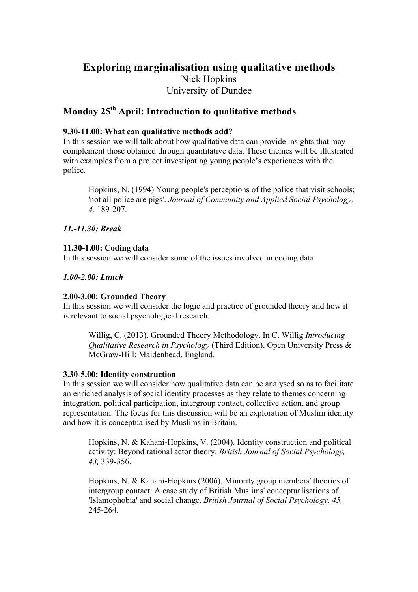# **Exploring marginalisation using qualitative methods** Nick Hopkins University of Dundee

# **Monday 25th April: Introduction to qualitative methods**

### **9.30-11.00: What can qualitative methods add?**

In this session we will talk about how qualitative data can provide insights that may complement those obtained through quantitative data. These themes will be illustrated with examples from a project investigating young people's experiences with the police.

Hopkins, N. (1994) Young people's perceptions of the police that visit schools; 'not all police are pigs'. *Journal of Community and Applied Social Psychology, 4,* 189-207.

# *11.-11.30: Break*

### **11.30-1.00: Coding data**

In this session we will consider some of the issues involved in coding data.

### *1.00-2.00: Lunch*

#### **2.00-3.00: Grounded Theory**

In this session we will consider the logic and practice of grounded theory and how it is relevant to social psychological research.

Willig, C. (2013). Grounded Theory Methodology. In C. Willig *Introducing Qualitative Research in Psychology* (Third Edition). Open University Press & McGraw-Hill: Maidenhead, England.

#### **3.30-5.00: Identity construction**

In this session we will consider how qualitative data can be analysed so as to facilitate an enriched analysis of social identity processes as they relate to themes concerning integration, political participation, intergroup contact, collective action, and group representation. The focus for this discussion will be an exploration of Muslim identity and how it is conceptualised by Muslims in Britain.

Hopkins, N. & Kahani-Hopkins, V. (2004). Identity construction and political activity: Beyond rational actor theory. *British Journal of Social Psychology, 43,* 339-356.

Hopkins, N. & Kahani-Hopkins (2006). Minority group members' theories of intergroup contact: A case study of British Muslims' conceptualisations of 'Islamophobia' and social change. *British Journal of Social Psychology, 45,* 245-264.